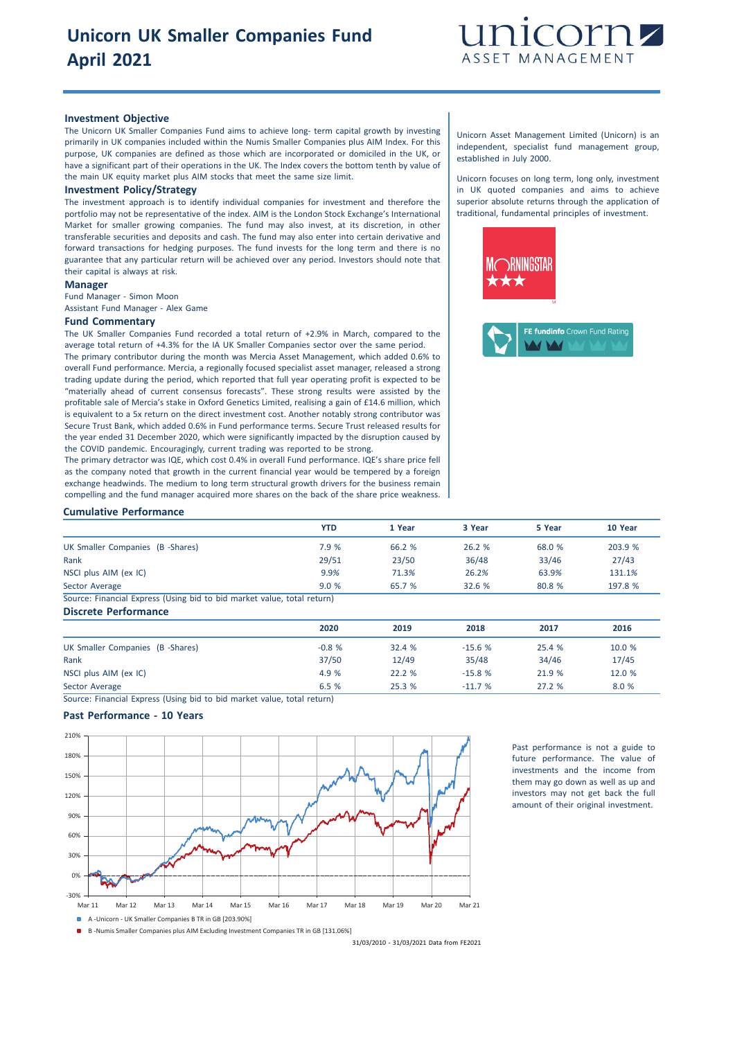

#### **Investment Objective**

The Unicorn UK Smaller Companies Fund aims to achieve long- term capital growth by investing primarily in UK companies included within the Numis Smaller Companies plus AIM Index. For this purpose, UK companies are defined as those which are incorporated or domiciled in the UK, or have a significant part of their operations in the UK. The Index covers the bottom tenth by value of the main UK equity market plus AIM stocks that meet the same size limit.

#### **Investment Policy/Strategy**

The investment approach is to identify individual companies for investment and therefore the portfolio may not be representative of the index. AIM is the London Stock Exchange's International Market for smaller growing companies. The fund may also invest, at its discretion, in other transferable securities and deposits and cash. The fund may also enter into certain derivative and forward transactions for hedging purposes. The fund invests for the long term and there is no guarantee that any particular return will be achieved over any period. Investors should note that their capital is always at risk.

## **Manager**

Fund Manager - Simon Moon Assistant Fund Manager - Alex Game

#### **Fund Commentary**

The UK Smaller Companies Fund recorded a total return of +2.9% in March, compared to the average total return of +4.3% for the IA UK Smaller Companies sector over the same period. The primary contributor during the month was Mercia Asset Management, which added 0.6% to

overall Fund performance. Mercia, a regionally focused specialist asset manager, released a strong trading update during the period, which reported that full year operating profit is expected to be "materially ahead of current consensus forecasts". These strong results were assisted by the profitable sale of Mercia's stake in Oxford Genetics Limited, realising a gain of £14.6 million, which is equivalent to a 5x return on the direct investment cost. Another notably strong contributor was Secure Trust Bank, which added 0.6% in Fund performance terms. Secure Trust released results for the year ended 31 December 2020, which were significantly impacted by the disruption caused by the COVID pandemic. Encouragingly, current trading was reported to be strong.

The primary detractor was IQE, which cost 0.4% in overall Fund performance. IQE's share price fell as the company noted that growth in the current financial year would be tempered by a foreign exchange headwinds. The medium to long term structural growth drivers for the business remain compelling and the fund manager acquired more shares on the back of the share price weak

#### Unicorn Asset Management Limited (Unicorn) is an independent, specialist fund management group, established in July 2000.

Unicorn focuses on long term, long only, investment in UK quoted companies and aims to achieve superior absolute returns through the application of traditional, fundamental principles of investment.



| COMPONING and the rand manager acquired more shares on the back or the share price weakness. T |            |        |          |        |         |
|------------------------------------------------------------------------------------------------|------------|--------|----------|--------|---------|
| <b>Cumulative Performance</b>                                                                  |            |        |          |        |         |
|                                                                                                | <b>YTD</b> | 1 Year | 3 Year   | 5 Year | 10 Year |
| UK Smaller Companies (B -Shares)                                                               | 7.9 %      | 66.2 % | 26.2 %   | 68.0 % | 203.9 % |
| Rank                                                                                           | 29/51      | 23/50  | 36/48    | 33/46  | 27/43   |
| NSCI plus AIM (ex IC)                                                                          | 9.9%       | 71.3%  | 26.2%    | 63.9%  | 131.1%  |
| Sector Average                                                                                 | 9.0%       | 65.7 % | 32.6 %   | 80.8 % | 197.8 % |
| Source: Financial Express (Using bid to bid market value, total return)                        |            |        |          |        |         |
| <b>Discrete Performance</b>                                                                    |            |        |          |        |         |
|                                                                                                | 2020       | 2019   | 2018     | 2017   | 2016    |
| UK Smaller Companies (B -Shares)                                                               | $-0.8%$    | 32.4 % | $-15.6%$ | 25.4 % | 10.0 %  |
| Rank                                                                                           | 37/50      | 12/49  | 35/48    | 34/46  | 17/45   |
| NSCI plus AIM (ex IC)                                                                          | 4.9 %      | 22.2 % | $-15.8%$ | 21.9 % | 12.0 %  |
| Sector Average                                                                                 | 6.5 %      | 25.3 % | $-11.7%$ | 27.2 % | 8.0 %   |

Source: Financial Express (Using bid to bid market value, total return)

### **Past Performance - 10 Years**



Past performance is not a guide to future performance. The value of investments and the income from them may go down as well as up and investors may not get back the full amount of their original investment.

B -Numis Smaller Companies plus AIM Excluding Investment Companies TR in GB [131.06%]

31/03/2010 - 31/03/2021 Data from FE2021